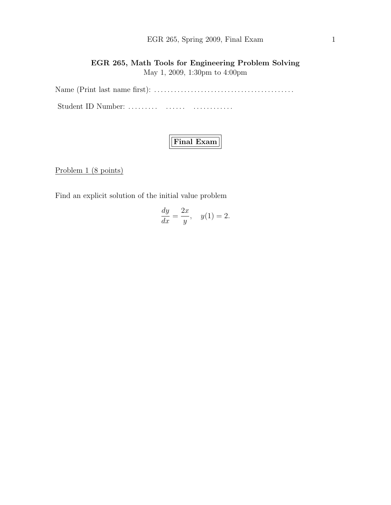## EGR 265, Spring 2009, Final Exam 1

## EGR 265, Math Tools for Engineering Problem Solving May 1, 2009, 1:30pm to 4:00pm

Name (Print last name first): . . . . . . . . . . . . . . . . . . . . . . . . . . . . . . . . . . . . . . . . . . Student ID Number: ......... ....... ................

# Final Exam

Problem 1 (8 points)

Find an explicit solution of the initial value problem

$$
\frac{dy}{dx} = \frac{2x}{y}, \quad y(1) = 2.
$$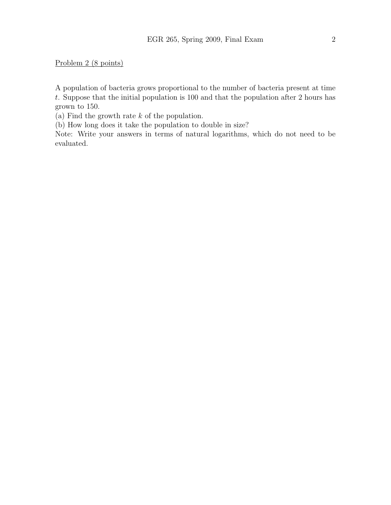Problem 2 (8 points)

A population of bacteria grows proportional to the number of bacteria present at time t. Suppose that the initial population is 100 and that the population after 2 hours has grown to 150.

(a) Find the growth rate k of the population.

(b) How long does it take the population to double in size?

Note: Write your answers in terms of natural logarithms, which do not need to be evaluated.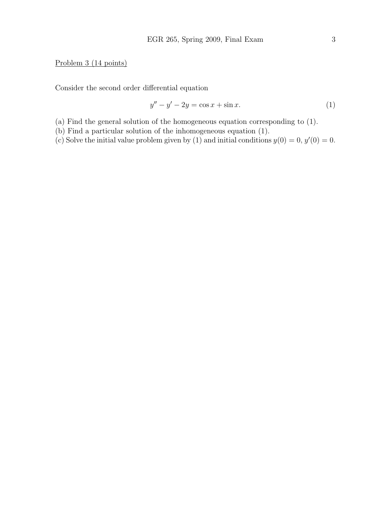### Problem 3 (14 points)

Consider the second order differential equation

$$
y'' - y' - 2y = \cos x + \sin x.
$$
 (1)

- (a) Find the general solution of the homogeneous equation corresponding to (1).
- (b) Find a particular solution of the inhomogeneous equation (1).
- (c) Solve the initial value problem given by (1) and initial conditions  $y(0) = 0, y'(0) = 0$ .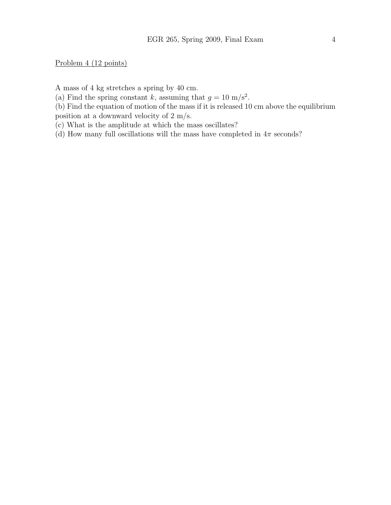Problem 4 (12 points)

A mass of 4 kg stretches a spring by 40 cm.

(a) Find the spring constant k, assuming that  $g = 10 \text{ m/s}^2$ .

(b) Find the equation of motion of the mass if it is released 10 cm above the equilibrium position at a downward velocity of 2 m/s.

(c) What is the amplitude at which the mass oscillates?

(d) How many full oscillations will the mass have completed in  $4\pi$  seconds?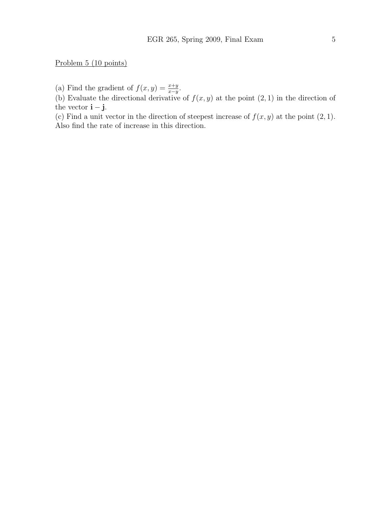Problem 5 (10 points)

(a) Find the gradient of  $f(x, y) = \frac{x+y}{x-y}$ .

(b) Evaluate the directional derivative of  $f(x, y)$  at the point  $(2, 1)$  in the direction of the vector  $\mathbf{i} - \mathbf{j}$ .

(c) Find a unit vector in the direction of steepest increase of  $f(x, y)$  at the point  $(2, 1)$ . Also find the rate of increase in this direction.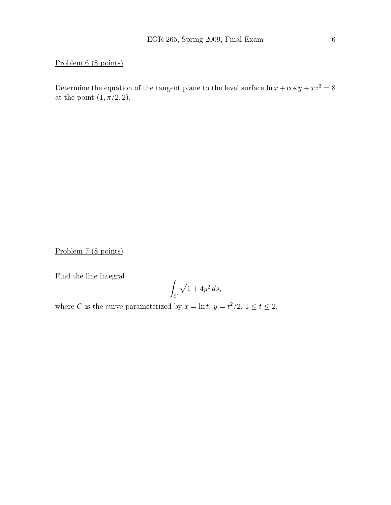Problem 6 (8 points)

Determine the equation of the tangent plane to the level surface  $\ln x + \cos y + xz^3 = 8$ at the point  $(1, \pi/2, 2)$ .

Problem 7 (8 points)

Find the line integral

$$
\int_C \sqrt{1+4y^2} \, ds,
$$

where C is the curve parameterized by  $x = \ln t$ ,  $y = t^2/2$ ,  $1 \le t \le 2$ .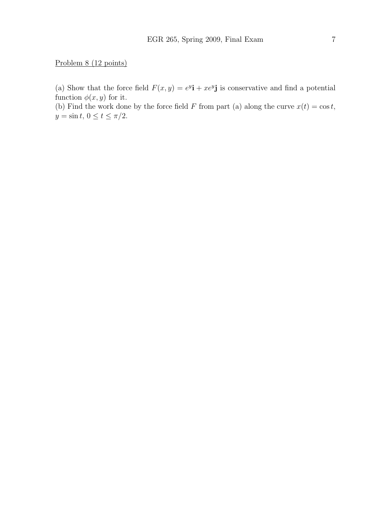### Problem 8 (12 points)

(a) Show that the force field  $F(x, y) = e^{y}i + xe^{y}j$  is conservative and find a potential function  $\phi(x, y)$  for it.

(b) Find the work done by the force field F from part (a) along the curve  $x(t) = \cos t$ ,  $y = \sin t, 0 \le t \le \pi/2.$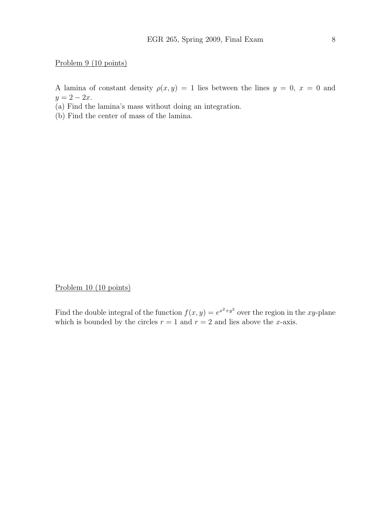#### Problem 9 (10 points)

A lamina of constant density  $\rho(x, y) = 1$  lies between the lines  $y = 0$ ,  $x = 0$  and  $y = 2 - 2x$ .

(a) Find the lamina's mass without doing an integration.

(b) Find the center of mass of the lamina.

Problem 10 (10 points)

Find the double integral of the function  $f(x, y) = e^{x^2+y^2}$  over the region in the xy-plane which is bounded by the circles  $r = 1$  and  $r = 2$  and lies above the x-axis.